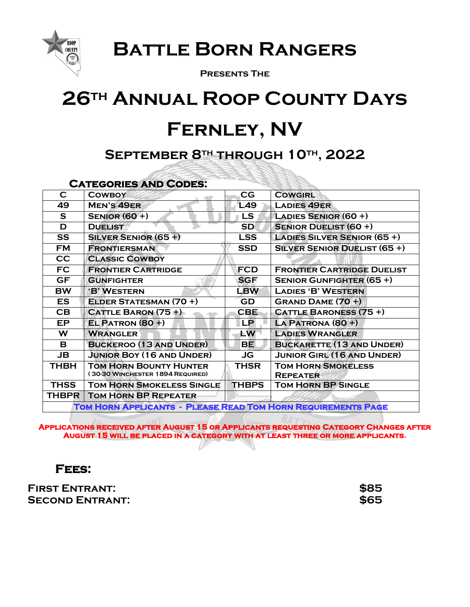

**Battle Born Rangers**

**Presents The**

# **26th Annual Roop County Days Fernley, NV**

# **September 8th through 10th, 2022**

## **Categories and Codes:**

| C                                                            | <b>COWBOY</b>                    | CG           | <b>COWGIRL</b>                      |  |  |
|--------------------------------------------------------------|----------------------------------|--------------|-------------------------------------|--|--|
| 49                                                           | <b>MEN'S 49ER</b>                | L49          | <b>LADIES 49ER</b>                  |  |  |
| S.                                                           | <b>SENIOR (60+)</b>              | <b>LS</b>    | LADIES SENIOR $(60 +)$              |  |  |
| D                                                            | <b>DUELIST</b>                   | <b>SD</b>    | <b>SENIOR DUELIST (60 +)</b>        |  |  |
| <b>SS</b>                                                    | <b>SILVER SENIOR (65 +)</b>      | <b>LSS</b>   | <b>LADIES SILVER SENIOR (65 +)</b>  |  |  |
| <b>FM</b>                                                    | <b>FRONTIERSMAN</b>              | <b>SSD</b>   | <b>SILVER SENIOR DUELIST (65 +)</b> |  |  |
| cc                                                           | <b>CLASSIC COWBOY</b>            |              |                                     |  |  |
| FC.                                                          | <b>FRONTIER CARTRIDGE</b>        | <b>FCD</b>   | <b>FRONTIER CARTRIDGE DUELIST</b>   |  |  |
| <b>GF</b>                                                    | <b>GUNFIGHTER</b>                | <b>SGF</b>   | <b>SENIOR GUNFIGHTER (65 +)</b>     |  |  |
| <b>BW</b>                                                    | 'B' WESTERN                      | <b>LBW</b>   | <b>LADIES 'B' WESTERN</b>           |  |  |
| <b>ES</b>                                                    | <b>ELDER STATESMAN (70 +)</b>    | GD           | GRAND DAME $(70 +)$                 |  |  |
| CB                                                           | CATTLE BARON $(75 +)$            | <b>CBE</b>   | <b>CATTLE BARONESS (75 +)</b>       |  |  |
| EP.                                                          | $EL$ PATRON (80 +)               | <b>LP</b>    | LA PATRONA (80 +)                   |  |  |
| W                                                            | <b>WRANGLER</b>                  | <b>LW</b>    | <b>LADIES WRANGLER</b>              |  |  |
| В                                                            | <b>BUCKEROO (13 AND UNDER)</b>   | <b>BE</b>    | <b>BUCKARETTE (13 AND UNDER)</b>    |  |  |
| <b>JB</b>                                                    | <b>JUNIOR BOY (16 AND UNDER)</b> | JG           | <b>JUNIOR GIRL (16 AND UNDER)</b>   |  |  |
| THBH                                                         | <b>TOM HORN BOUNTY HUNTER</b>    | <b>THSR</b>  | <b>TOM HORN SMOKELESS</b>           |  |  |
|                                                              | (30-30 WINCHESTER 1894 REQUIRED) |              | <b>REPEATER</b>                     |  |  |
| <b>THSS</b>                                                  | <b>TOM HORN SMOKELESS SINGLE</b> | <b>THBPS</b> | <b>TOM HORN BP SINGLE</b>           |  |  |
| <b>THBPR</b>                                                 | <b>TOM HORN BP REPEATER</b>      |              |                                     |  |  |
| TOM HORN APPLICANTS - PLEASE READ TOM HORN REQUIREMENTS PAGE |                                  |              |                                     |  |  |

**Applications received after August 15 or Applicants requesting Category Changes after August 15 will be placed in a category with at least three or more applicants.**

# **Fees:**

**First Entrant: \$85 Second Entrant: \$65**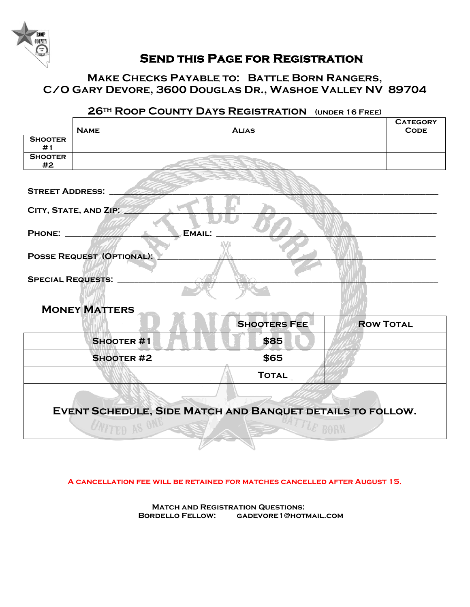

#### **Send this Page for Registration**

## **Make Checks Payable to: Battle Born Rangers, C/O Gary Devore, 3600 Douglas Dr., Washoe Valley NV 89704**

|                                                                      | <b>NAME</b>       | <b>ALIAS</b>        | <b>CATEGORY</b><br><b>CODE</b> |  |  |  |
|----------------------------------------------------------------------|-------------------|---------------------|--------------------------------|--|--|--|
| <b>SHOOTER</b><br>#1                                                 |                   |                     |                                |  |  |  |
| <b>SHOOTER</b><br>#2                                                 |                   |                     |                                |  |  |  |
| <b>STREET ADDRESS:</b>                                               |                   |                     |                                |  |  |  |
| CITY, STATE, AND ZIP.                                                |                   |                     |                                |  |  |  |
| EMAIL:<br><b>PHONE:</b>                                              |                   |                     |                                |  |  |  |
| <b>POSSE REQUEST (OPTIONAL):</b>                                     |                   |                     |                                |  |  |  |
| <b>SPECIAL REQUESTS:</b>                                             |                   |                     |                                |  |  |  |
| <b>MONEY MATTERS</b>                                                 |                   |                     |                                |  |  |  |
|                                                                      |                   | <b>SHOOTERS FEE</b> | <b>ROW TOTAL</b>               |  |  |  |
|                                                                      | <b>SHOOTER#1</b>  | \$85                |                                |  |  |  |
|                                                                      | <b>SHOOTER #2</b> | \$65                |                                |  |  |  |
|                                                                      |                   | <b>TOTAL</b>        |                                |  |  |  |
| EVENT SCHEDULE, SIDE MATCH AND BANQUET DETAILS TO FOLLOW.<br>LE BORN |                   |                     |                                |  |  |  |

## **26th Roop County Days Registration (under 16 Free)**

**A cancellation fee will be retained for matches cancelled after August 15.**

**Match and Registration Questions: Bordello Fellow: gadevore1@hotmail.com**